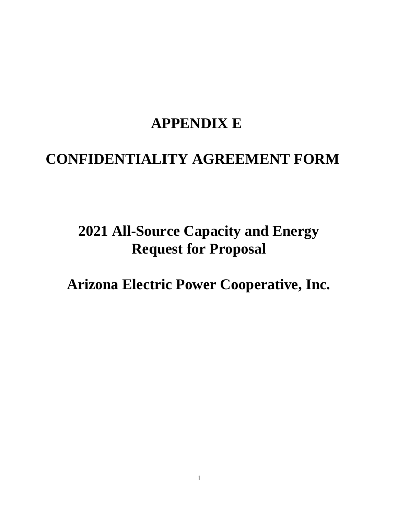## **APPENDIX E**

## **CONFIDENTIALITY AGREEMENT FORM**

# **2021 All-Source Capacity and Energy Request for Proposal**

**Arizona Electric Power Cooperative, Inc.**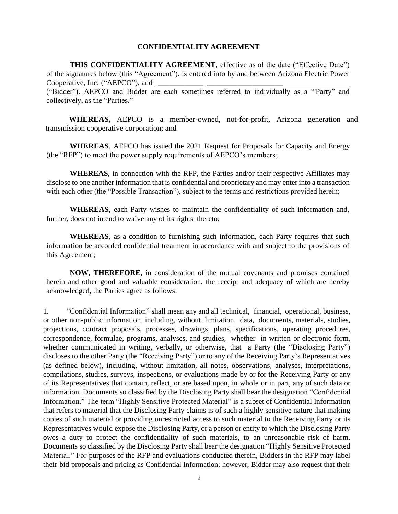#### **CONFIDENTIALITY AGREEMENT**

**THIS CONFIDENTIALITY AGREEMENT**, effective as of the date ("Effective Date") of the signatures below (this "Agreement"), is entered into by and between Arizona Electric Power Cooperative, Inc. ("AEPCO"), and

("Bidder"). AEPCO and Bidder are each sometimes referred to individually as a "'Party" and collectively, as the "Parties."

**WHEREAS,** AEPCO is a member-owned, not-for-profit, Arizona generation and transmission cooperative corporation; and

**WHEREAS**, AEPCO has issued the 2021 Request for Proposals for Capacity and Energy (the "RFP") to meet the power supply requirements of AEPCO's members;

**WHEREAS**, in connection with the RFP, the Parties and/or their respective Affiliates may disclose to one another information that is confidential and proprietary and may enter into a transaction with each other (the "Possible Transaction"), subject to the terms and restrictions provided herein;

**WHEREAS**, each Party wishes to maintain the confidentiality of such information and, further, does not intend to waive any of its rights thereto;

**WHEREAS**, as a condition to furnishing such information, each Party requires that such information be accorded confidential treatment in accordance with and subject to the provisions of this Agreement;

**NOW, THEREFORE,** in consideration of the mutual covenants and promises contained herein and other good and valuable consideration, the receipt and adequacy of which are hereby acknowledged, the Parties agree as follows:

1. "Confidential Information" shall mean any and all technical, financial, operational, business, or other non-public information, including, without limitation, data, documents, materials, studies, projections, contract proposals, processes, drawings, plans, specifications, operating procedures, correspondence, formulae, programs, analyses, and studies, whether in written or electronic form, whether communicated in writing, verbally, or otherwise, that a Party (the "Disclosing Party") discloses to the other Party (the "Receiving Party") or to any of the Receiving Party's Representatives (as defined below), including, without limitation, all notes, observations, analyses, interpretations, compilations, studies, surveys, inspections, or evaluations made by or for the Receiving Party or any of its Representatives that contain, reflect, or are based upon, in whole or in part, any of such data or information. Documents so classified by the Disclosing Party shall bear the designation "Confidential Information." The term "Highly Sensitive Protected Material" is a subset of Confidential Information that refers to material that the Disclosing Party claims is of such a highly sensitive nature that making copies of such material or providing unrestricted access to such material to the Receiving Party or its Representatives would expose the Disclosing Party, or a person or entity to which the Disclosing Party owes a duty to protect the confidentiality of such materials, to an unreasonable risk of harm. Documents so classified by the Disclosing Party shall bear the designation "Highly Sensitive Protected Material." For purposes of the RFP and evaluations conducted therein, Bidders in the RFP may label their bid proposals and pricing as Confidential Information; however, Bidder may also request that their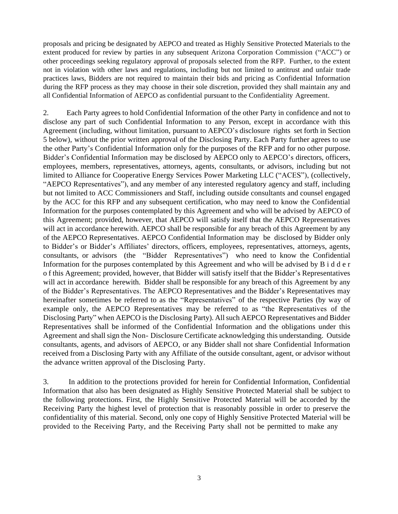proposals and pricing be designated by AEPCO and treated as Highly Sensitive Protected Materials to the extent produced for review by parties in any subsequent Arizona Corporation Commission ("ACC") or other proceedings seeking regulatory approval of proposals selected from the RFP. Further, to the extent not in violation with other laws and regulations, including but not limited to antitrust and unfair trade practices laws, Bidders are not required to maintain their bids and pricing as Confidential Information during the RFP process as they may choose in their sole discretion, provided they shall maintain any and all Confidential Information of AEPCO as confidential pursuant to the Confidentiality Agreement.

2. Each Party agrees to hold Confidential Information of the other Party in confidence and not to disclose any part of such Confidential Information to any Person, except in accordance with this Agreement (including, without limitation, pursuant to AEPCO's disclosure rights set forth in Section 5 below), without the prior written approval of the Disclosing Party. Each Party further agrees to use the other Party's Confidential Information only for the purposes of the RFP and for no other purpose. Bidder's Confidential Information may be disclosed by AEPCO only to AEPCO's directors, officers, employees, members, representatives, attorneys, agents, consultants, or advisors, including but not limited to Alliance for Cooperative Energy Services Power Marketing LLC ("ACES"), (collectively, "AEPCO Representatives"), and any member of any interested regulatory agency and staff, including but not limited to ACC Commissioners and Staff, including outside consultants and counsel engaged by the ACC for this RFP and any subsequent certification, who may need to know the Confidential Information for the purposes contemplated by this Agreement and who will be advised by AEPCO of this Agreement; provided, however, that AEPCO will satisfy itself that the AEPCO Representatives will act in accordance herewith. AEPCO shall be responsible for any breach of this Agreement by any of the AEPCO Representatives. AEPCO Confidential Information may be disclosed by Bidder only to Bidder's or Bidder's Affiliates' directors, officers, employees, representatives, attorneys, agents, consultants, or advisors (the "Bidder Representatives") who need to know the Confidential Information for the purposes contemplated by this Agreement and who will be advised by B i d d e r o f this Agreement; provided, however, that Bidder will satisfy itself that the Bidder's Representatives will act in accordance herewith. Bidder shall be responsible for any breach of this Agreement by any of the Bidder's Representatives. The AEPCO Representatives and the Bidder's Representatives may hereinafter sometimes be referred to as the "Representatives" of the respective Parties (by way of example only, the AEPCO Representatives may be referred to as "the Representatives of the Disclosing Party" when AEPCO is the Disclosing Party). All such AEPCO Representatives and Bidder Representatives shall be informed of the Confidential Information and the obligations under this Agreement and shall sign the Non- Disclosure Certificate acknowledging this understanding. Outside consultants, agents, and advisors of AEPCO, or any Bidder shall not share Confidential Information received from a Disclosing Party with any Affiliate of the outside consultant, agent, or advisor without the advance written approval of the Disclosing Party.

3. In addition to the protections provided for herein for Confidential Information, Confidential Information that also has been designated as Highly Sensitive Protected Material shall be subject to the following protections. First, the Highly Sensitive Protected Material will be accorded by the Receiving Party the highest level of protection that is reasonably possible in order to preserve the confidentiality of this material. Second, only one copy of Highly Sensitive Protected Material will be provided to the Receiving Party, and the Receiving Party shall not be permitted to make any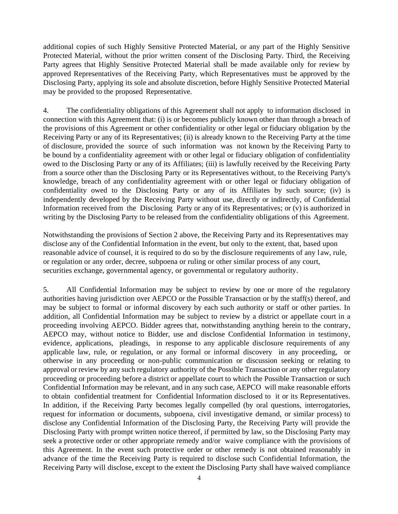additional copies of such Highly Sensitive Protected Material, or any part of the Highly Sensitive Protected Material, without the prior written consent of the Disclosing Party. Third, the Receiving Party agrees that Highly Sensitive Protected Material shall be made available only for review by approved Representatives of the Receiving Party, which Representatives must be approved by the Disclosing Party, applying its sole and absolute discretion, before Highly Sensitive Protected Material may be provided to the proposed Representative.

4. The confidentiality obligations of this Agreement shall not apply to information disclosed in connection with this Agreement that: (i) is or becomes publicly known other than through a breach of the provisions of this Agreement or other confidentiality or other legal or fiduciary obligation by the Receiving Party or any of its Representatives; (ii) is already known to the Receiving Party at the time of disclosure, provided the source of such information was not known by the Receiving Party to be bound by a confidentiality agreement with or other legal or fiduciary obligation of confidentiality owed to the Disclosing Party or any of its Affiliates; (iii) is lawfully received by the Receiving Party from a source other than the Disclosing Party or its Representatives without, to the Receiving Party's knowledge, breach of any confidentiality agreement with or other legal or fiduciary obligation of confidentiality owed to the Disclosing Party or any of its Affiliates by such source; (iv) is independently developed by the Receiving Party without use, directly or indirectly, of Confidential Information received from the Disclosing Party or any of its Representatives; or (v) is authorized in writing by the Disclosing Party to be released from the confidentiality obligations of this Agreement.

Notwithstanding the provisions of Section 2 above, the Receiving Party and its Representatives may disclose any of the Confidential Information in the event, but only to the extent, that, based upon reasonable advice of counsel, it is required to do so by the disclosure requirements of any l aw, rule, or regulation or any order, decree, subpoena or ruling or other similar process of any court, securities exchange, governmental agency, or governmental or regulatory authority.

5. All Confidential Information may be subject to review by one or more of the regulatory authorities having jurisdiction over AEPCO or the Possible Transaction or by the staff(s) thereof, and may be subject to formal or informal discovery by each such authority or staff or other parties. In addition, all Confidential Information may be subject to review by a district or appellate court in a proceeding involving AEPCO. Bidder agrees that, notwithstanding anything herein to the contrary, AEPCO may, without notice to Bidder, use and disclose Confidential Information in testimony, evidence, applications, pleadings, in response to any applicable disclosure requirements of any applicable law, rule, or regulation, or any formal or informal discovery in any proceeding, or otherwise in any proceeding or non-public communication or discussion seeking or relating to approval or review by any such regulatory authority of the Possible Transaction or any other regulatory proceeding or proceeding before a district or appellate court to which the Possible Transaction or such Confidential Information may be relevant, and in any such case, AEPCO will make reasonable efforts to obtain confidential treatment for Confidential Information disclosed to it or its Representatives. In addition, if the Receiving Party becomes legally compelled (by oral questions, interrogatories, request for information or documents, subpoena, civil investigative demand, or similar process) to disclose any Confidential Information of the Disclosing Party, the Receiving Party will provide the Disclosing Party with prompt written notice thereof, if permitted by law, so the Disclosing Party may seek a protective order or other appropriate remedy and/or waive compliance with the provisions of this Agreement. In the event such protective order or other remedy is not obtained reasonably in advance of the time the Receiving Party is required to disclose such Confidential Information, the Receiving Party will disclose, except to the extent the Disclosing Party shall have waived compliance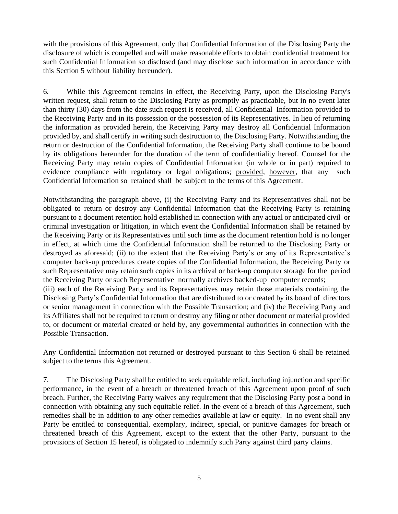with the provisions of this Agreement, only that Confidential Information of the Disclosing Party the disclosure of which is compelled and will make reasonable efforts to obtain confidential treatment for such Confidential Information so disclosed (and may disclose such information in accordance with this Section 5 without liability hereunder).

6. While this Agreement remains in effect, the Receiving Party, upon the Disclosing Party's written request, shall return to the Disclosing Party as promptly as practicable, but in no event later than thirty (30) days from the date such request is received, all Confidential Information provided to the Receiving Party and in its possession or the possession of its Representatives. In lieu of returning the information as provided herein, the Receiving Party may destroy all Confidential Information provided by, and shall certify in writing such destruction to, the Disclosing Party. Notwithstanding the return or destruction of the Confidential Information, the Receiving Party shall continue to be bound by its obligations hereunder for the duration of the term of confidentiality hereof. Counsel for the Receiving Party may retain copies of Confidential Information (in whole or in part) required to evidence compliance with regulatory or legal obligations; provided, however, that any such Confidential Information so retained shall be subject to the terms of this Agreement.

Notwithstanding the paragraph above, (i) the Receiving Party and its Representatives shall not be obligated to return or destroy any Confidential Information that the Receiving Party is retaining pursuant to a document retention hold established in connection with any actual or anticipated civil or criminal investigation or litigation, in which event the Confidential Information shall be retained by the Receiving Party or its Representatives until such time as the document retention hold is no longer in effect, at which time the Confidential Information shall be returned to the Disclosing Party or destroyed as aforesaid; (ii) to the extent that the Receiving Party's or any of its Representative's computer back-up procedures create copies of the Confidential Information, the Receiving Party or such Representative may retain such copies in its archival or back-up computer storage for the period the Receiving Party or such Representative normally archives backed-up computer records; (iii) each of the Receiving Party and its Representatives may retain those materials containing the

Disclosing Party's Confidential Information that are distributed to or created by its board of directors or senior management in connection with the Possible Transaction; and (iv) the Receiving Party and its Affiliates shall not be required to return or destroy any filing or other document or material provided to, or document or material created or held by, any governmental authorities in connection with the Possible Transaction.

Any Confidential Information not returned or destroyed pursuant to this Section 6 shall be retained subject to the terms this Agreement.

7. The Disclosing Party shall be entitled to seek equitable relief, including injunction and specific performance, in the event of a breach or threatened breach of this Agreement upon proof of such breach. Further, the Receiving Party waives any requirement that the Disclosing Party post a bond in connection with obtaining any such equitable relief. In the event of a breach of this Agreement, such remedies shall be in addition to any other remedies available at law or equity. In no event shall any Party be entitled to consequential, exemplary, indirect, special, or punitive damages for breach or threatened breach of this Agreement, except to the extent that the other Party, pursuant to the provisions of Section 15 hereof, is obligated to indemnify such Party against third party claims.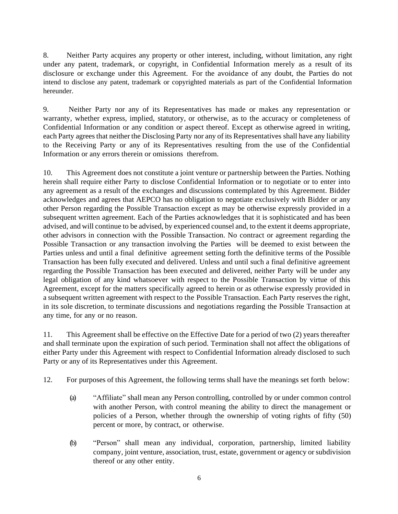8. Neither Party acquires any property or other interest, including, without limitation, any right under any patent, trademark, or copyright, in Confidential Information merely as a result of its disclosure or exchange under this Agreement. For the avoidance of any doubt, the Parties do not intend to disclose any patent, trademark or copyrighted materials as part of the Confidential Information hereunder.

9. Neither Party nor any of its Representatives has made or makes any representation or warranty, whether express, implied, statutory, or otherwise, as to the accuracy or completeness of Confidential Information or any condition or aspect thereof. Except as otherwise agreed in writing, each Party agrees that neither the Disclosing Party nor any of its Representatives shall have any liability to the Receiving Party or any of its Representatives resulting from the use of the Confidential Information or any errors therein or omissions therefrom.

10. This Agreement does not constitute a joint venture or partnership between the Parties. Nothing herein shall require either Party to disclose Confidential Information or to negotiate or to enter into any agreement as a result of the exchanges and discussions contemplated by this Agreement. Bidder acknowledges and agrees that AEPCO has no obligation to negotiate exclusively with Bidder or any other Person regarding the Possible Transaction except as may be otherwise expressly provided in a subsequent written agreement. Each of the Parties acknowledges that it is sophisticated and has been advised, and will continue to be advised, by experienced counsel and, to the extent it deems appropriate, other advisors in connection with the Possible Transaction. No contract or agreement regarding the Possible Transaction or any transaction involving the Parties will be deemed to exist between the Parties unless and until a final definitive agreement setting forth the definitive terms of the Possible Transaction has been fully executed and delivered. Unless and until such a final definitive agreement regarding the Possible Transaction has been executed and delivered, neither Party will be under any legal obligation of any kind whatsoever with respect to the Possible Transaction by virtue of this Agreement, except for the matters specifically agreed to herein or as otherwise expressly provided in a subsequent written agreement with respect to the Possible Transaction. Each Party reserves the right, in its sole discretion, to terminate discussions and negotiations regarding the Possible Transaction at any time, for any or no reason.

11. This Agreement shall be effective on the Effective Date for a period of two (2) years thereafter and shall terminate upon the expiration of such period. Termination shall not affect the obligations of either Party under this Agreement with respect to Confidential Information already disclosed to such Party or any of its Representatives under this Agreement.

12. For purposes of this Agreement, the following terms shall have the meanings set forth below:

- (a) "Affiliate" shall mean any Person controlling, controlled by or under common control with another Person, with control meaning the ability to direct the management or policies of a Person, whether through the ownership of voting rights of fifty (50) percent or more, by contract, or otherwise.
- (b) "Person" shall mean any individual, corporation, partnership, limited liability company, joint venture, association, trust, estate, government or agency or subdivision thereof or any other entity.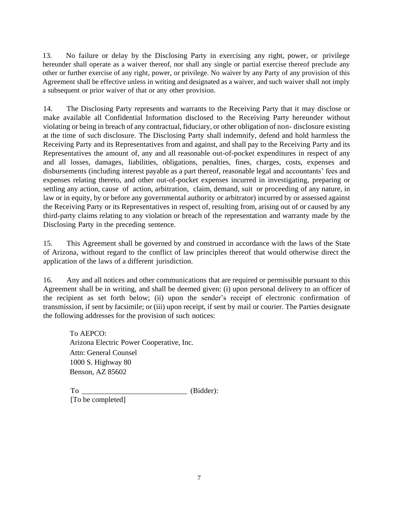13. No failure or delay by the Disclosing Party in exercising any right, power, or privilege hereunder shall operate as a waiver thereof, nor shall any single or partial exercise thereof preclude any other or further exercise of any right, power, or privilege. No waiver by any Party of any provision of this Agreement shall be effective unless in writing and designated as a waiver, and such waiver shall not imply a subsequent or prior waiver of that or any other provision.

14. The Disclosing Party represents and warrants to the Receiving Party that it may disclose or make available all Confidential Information disclosed to the Receiving Party hereunder without violating or being in breach of any contractual, fiduciary, or other obligation of non- disclosure existing at the time of such disclosure. The Disclosing Party shall indemnify, defend and hold harmless the Receiving Party and its Representatives from and against, and shall pay to the Receiving Party and its Representatives the amount of, any and all reasonable out-of-pocket expenditures in respect of any and all losses, damages, liabilities, obligations, penalties, fines, charges, costs, expenses and disbursements (including interest payable as a part thereof, reasonable legal and accountants' fees and expenses relating thereto, and other out-of-pocket expenses incurred in investigating, preparing or settling any action, cause of action, arbitration, claim, demand, suit or proceeding of any nature, in law or in equity, by or before any governmental authority or arbitrator) incurred by or assessed against the Receiving Party or its Representatives in respect of, resulting from, arising out of or caused by any third-party claims relating to any violation or breach of the representation and warranty made by the Disclosing Party in the preceding sentence.

15. This Agreement shall be governed by and construed in accordance with the laws of the State of Arizona, without regard to the conflict of law principles thereof that would otherwise direct the application of the laws of a different jurisdiction.

16. Any and all notices and other communications that are required or permissible pursuant to this Agreement shall be in writing, and shall be deemed given: (i) upon personal delivery to an officer of the recipient as set forth below; (ii) upon the sender's receipt of electronic confirmation of transmission, if sent by facsimile; or (iii) upon receipt, if sent by mail or courier. The Parties designate the following addresses for the provision of such notices:

To AEPCO: Arizona Electric Power Cooperative, Inc. Attn: General Counsel 1000 S. Highway 80 Benson, AZ 85602

To  $(Bidder):$ [To be completed]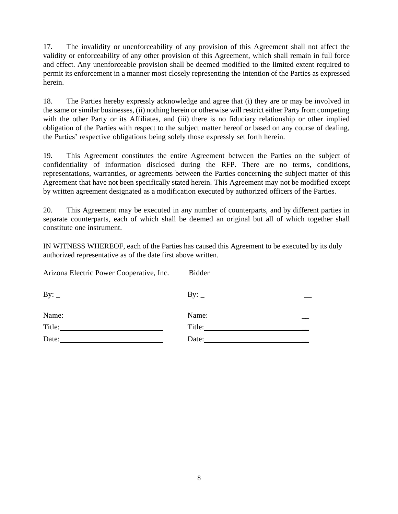17. The invalidity or unenforceability of any provision of this Agreement shall not affect the validity or enforceability of any other provision of this Agreement, which shall remain in full force and effect. Any unenforceable provision shall be deemed modified to the limited extent required to permit its enforcement in a manner most closely representing the intention of the Parties as expressed herein.

18. The Parties hereby expressly acknowledge and agree that (i) they are or may be involved in the same or similar businesses, (ii) nothing herein or otherwise will restrict either Party from competing with the other Party or its Affiliates, and (iii) there is no fiduciary relationship or other implied obligation of the Parties with respect to the subject matter hereof or based on any course of dealing, the Parties' respective obligations being solely those expressly set forth herein.

19. This Agreement constitutes the entire Agreement between the Parties on the subject of confidentiality of information disclosed during the RFP. There are no terms, conditions, representations, warranties, or agreements between the Parties concerning the subject matter of this Agreement that have not been specifically stated herein. This Agreement may not be modified except by written agreement designated as a modification executed by authorized officers of the Parties.

20. This Agreement may be executed in any number of counterparts, and by different parties in separate counterparts, each of which shall be deemed an original but all of which together shall constitute one instrument.

IN WITNESS WHEREOF, each of the Parties has caused this Agreement to be executed by its duly authorized representative as of the date first above written.

| Arizona Electric Power Cooperative, Inc.                                                                                                                                                                                                                                                                                                                                                                                | <b>Bidder</b>                                                           |
|-------------------------------------------------------------------------------------------------------------------------------------------------------------------------------------------------------------------------------------------------------------------------------------------------------------------------------------------------------------------------------------------------------------------------|-------------------------------------------------------------------------|
|                                                                                                                                                                                                                                                                                                                                                                                                                         |                                                                         |
| Name: $\frac{1}{\sqrt{1-\frac{1}{2}}}\left\{ \frac{1}{2}, \frac{1}{2}, \frac{1}{2}, \frac{1}{2}, \frac{1}{2}, \frac{1}{2}, \frac{1}{2}, \frac{1}{2}, \frac{1}{2}, \frac{1}{2}, \frac{1}{2}, \frac{1}{2}, \frac{1}{2}, \frac{1}{2}, \frac{1}{2}, \frac{1}{2}, \frac{1}{2}, \frac{1}{2}, \frac{1}{2}, \frac{1}{2}, \frac{1}{2}, \frac{1}{2}, \frac{1}{2}, \frac{1}{2}, \frac{1}{2}, \frac{1}{2}, \frac{1}{2}, \frac{1}{2$ | Name: $\frac{1}{\sqrt{1-\frac{1}{2}}}\left\vert \frac{1}{2}\right\vert$ |
|                                                                                                                                                                                                                                                                                                                                                                                                                         |                                                                         |
| Date: $\qquad \qquad$                                                                                                                                                                                                                                                                                                                                                                                                   |                                                                         |